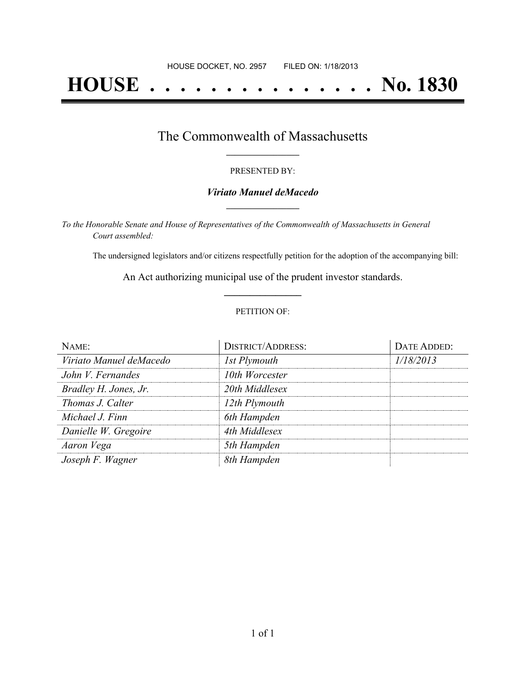# **HOUSE . . . . . . . . . . . . . . . No. 1830**

## The Commonwealth of Massachusetts **\_\_\_\_\_\_\_\_\_\_\_\_\_\_\_\_\_**

#### PRESENTED BY:

#### *Viriato Manuel deMacedo* **\_\_\_\_\_\_\_\_\_\_\_\_\_\_\_\_\_**

*To the Honorable Senate and House of Representatives of the Commonwealth of Massachusetts in General Court assembled:*

The undersigned legislators and/or citizens respectfully petition for the adoption of the accompanying bill:

An Act authorizing municipal use of the prudent investor standards. **\_\_\_\_\_\_\_\_\_\_\_\_\_\_\_**

#### PETITION OF:

| NAME:                   | <b>DISTRICT/ADDRESS:</b> | DATE ADDED: |
|-------------------------|--------------------------|-------------|
| Viriato Manuel deMacedo | 1st Plymouth             | 1/18/2013   |
| John V. Fernandes       | 10th Worcester           |             |
| Bradley H. Jones, Jr.   | 20th Middlesex           |             |
| Thomas J. Calter        | 12th Plymouth            |             |
| Michael J. Finn         | 6th Hampden              |             |
| Danielle W. Gregoire    | 4th Middlesex            |             |
| Aaron Vega              | 5th Hampden              |             |
| Joseph F. Wagner        | 8th Hampden              |             |